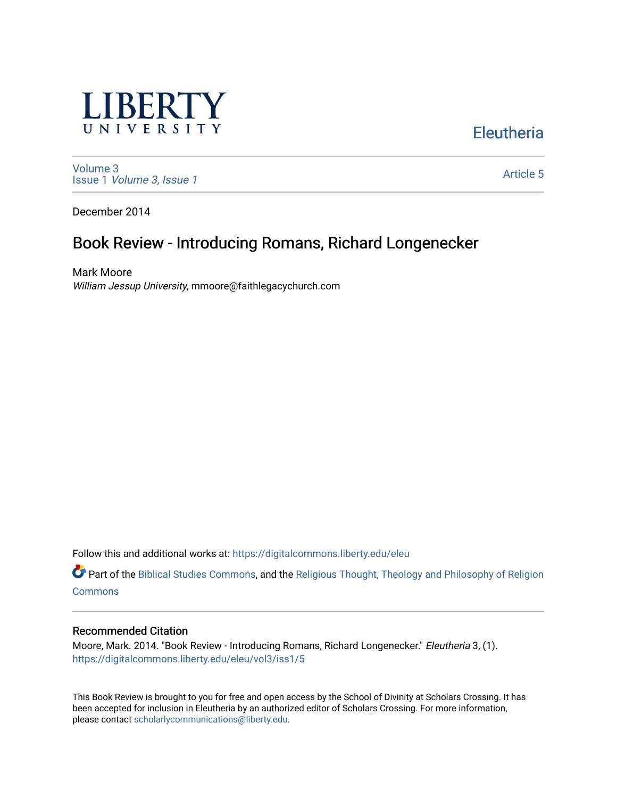

[Volume 3](https://digitalcommons.liberty.edu/eleu/vol3) Issue 1 [Volume 3, Issue 1](https://digitalcommons.liberty.edu/eleu/vol3/iss1) 

[Article 5](https://digitalcommons.liberty.edu/eleu/vol3/iss1/5) 

**Eleutheria** 

December 2014

# Book Review - Introducing Romans, Richard Longenecker

Mark Moore William Jessup University, mmoore@faithlegacychurch.com

Follow this and additional works at: [https://digitalcommons.liberty.edu/eleu](https://digitalcommons.liberty.edu/eleu?utm_source=digitalcommons.liberty.edu%2Feleu%2Fvol3%2Fiss1%2F5&utm_medium=PDF&utm_campaign=PDFCoverPages) 

Part of the [Biblical Studies Commons,](http://network.bepress.com/hgg/discipline/539?utm_source=digitalcommons.liberty.edu%2Feleu%2Fvol3%2Fiss1%2F5&utm_medium=PDF&utm_campaign=PDFCoverPages) and the [Religious Thought, Theology and Philosophy of Religion](http://network.bepress.com/hgg/discipline/544?utm_source=digitalcommons.liberty.edu%2Feleu%2Fvol3%2Fiss1%2F5&utm_medium=PDF&utm_campaign=PDFCoverPages)  **[Commons](http://network.bepress.com/hgg/discipline/544?utm_source=digitalcommons.liberty.edu%2Feleu%2Fvol3%2Fiss1%2F5&utm_medium=PDF&utm_campaign=PDFCoverPages)** 

#### Recommended Citation

Moore, Mark. 2014. "Book Review - Introducing Romans, Richard Longenecker." Eleutheria 3, (1). [https://digitalcommons.liberty.edu/eleu/vol3/iss1/5](https://digitalcommons.liberty.edu/eleu/vol3/iss1/5?utm_source=digitalcommons.liberty.edu%2Feleu%2Fvol3%2Fiss1%2F5&utm_medium=PDF&utm_campaign=PDFCoverPages) 

This Book Review is brought to you for free and open access by the School of Divinity at Scholars Crossing. It has been accepted for inclusion in Eleutheria by an authorized editor of Scholars Crossing. For more information, please contact [scholarlycommunications@liberty.edu.](mailto:scholarlycommunications@liberty.edu)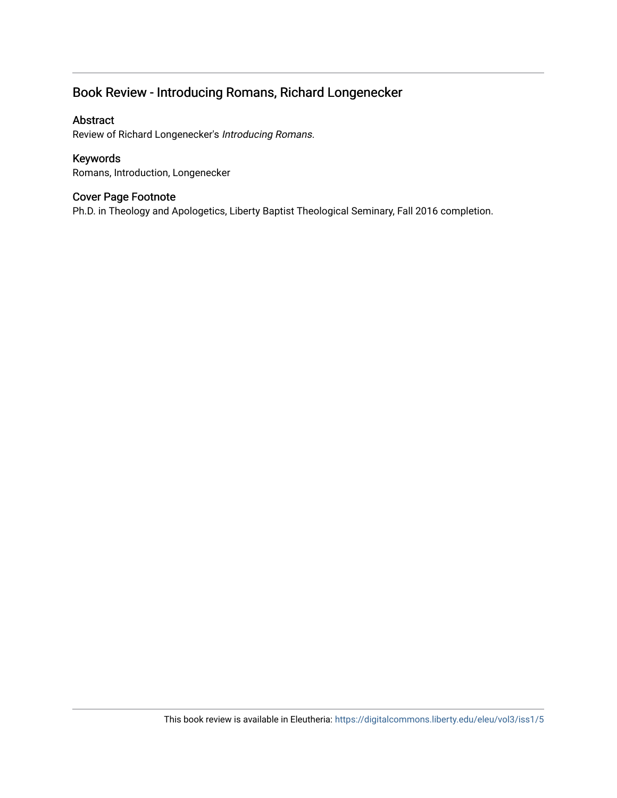## Book Review - Introducing Romans, Richard Longenecker

#### Abstract

Review of Richard Longenecker's Introducing Romans.

#### Keywords

Romans, Introduction, Longenecker

### Cover Page Footnote

Ph.D. in Theology and Apologetics, Liberty Baptist Theological Seminary, Fall 2016 completion.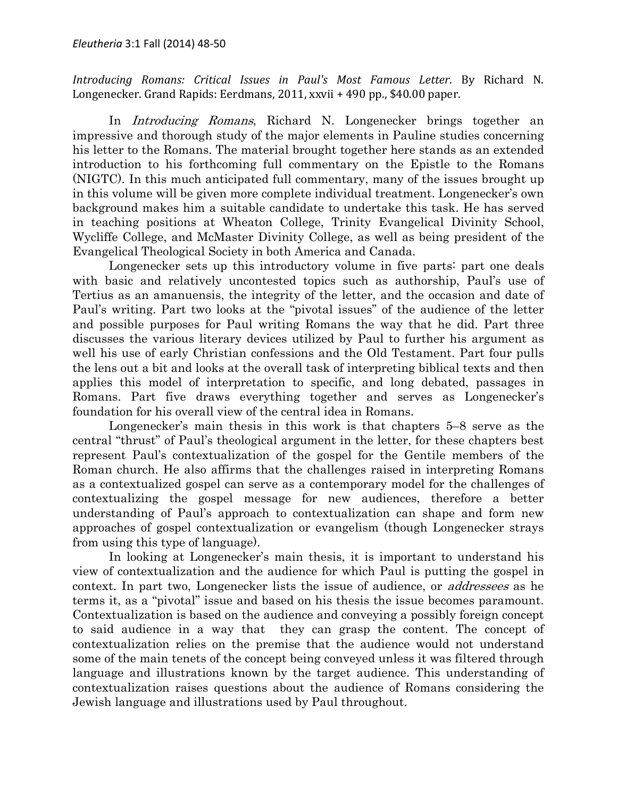Introducing Romans: Critical Issues in Paul's Most Famous Letter. By Richard N. Longenecker. Grand Rapids: Eerdmans, 2011, xxvii + 490 pp., \$40.00 paper.

In Introducing Romans, Richard N. Longenecker brings together an impressive and thorough study of the major elements in Pauline studies concerning his letter to the Romans. The material brought together here stands as an extended introduction to his forthcoming full commentary on the Epistle to the Romans (NIGTC). In this much anticipated full commentary, many of the issues brought up in this volume will be given more complete individual treatment. Longenecker's own background makes him a suitable candidate to undertake this task. He has served in teaching positions at Wheaton College, Trinity Evangelical Divinity School, Wycliffe College, and McMaster Divinity College, as well as being president of the Evangelical Theological Society in both America and Canada.

Longenecker sets up this introductory volume in five parts: part one deals with basic and relatively uncontested topics such as authorship, Paul's use of Tertius as an amanuensis, the integrity of the letter, and the occasion and date of Paul's writing. Part two looks at the "pivotal issues" of the audience of the letter and possible purposes for Paul writing Romans the way that he did. Part three discusses the various literary devices utilized by Paul to further his argument as well his use of early Christian confessions and the Old Testament. Part four pulls the lens out a bit and looks at the overall task of interpreting biblical texts and then applies this model of interpretation to specific, and long debated, passages in Romans. Part five draws everything together and serves as Longenecker's foundation for his overall view of the central idea in Romans.

Longenecker's main thesis in this work is that chapters 5–8 serve as the central "thrust" of Paul's theological argument in the letter, for these chapters best represent Paul's contextualization of the gospel for the Gentile members of the Roman church. He also affirms that the challenges raised in interpreting Romans as a contextualized gospel can serve as a contemporary model for the challenges of contextualizing the gospel message for new audiences, therefore a better understanding of Paul's approach to contextualization can shape and form new approaches of gospel contextualization or evangelism (though Longenecker strays from using this type of language).

In looking at Longenecker's main thesis, it is important to understand his view of contextualization and the audience for which Paul is putting the gospel in context. In part two, Longenecker lists the issue of audience, or *addressees* as he terms it, as a "pivotal" issue and based on his thesis the issue becomes paramount. Contextualization is based on the audience and conveying a possibly foreign concept to said audience in a way that they can grasp the content. The concept of contextualization relies on the premise that the audience would not understand some of the main tenets of the concept being conveyed unless it was filtered through language and illustrations known by the target audience. This understanding of contextualization raises questions about the audience of Romans considering the Jewish language and illustrations used by Paul throughout.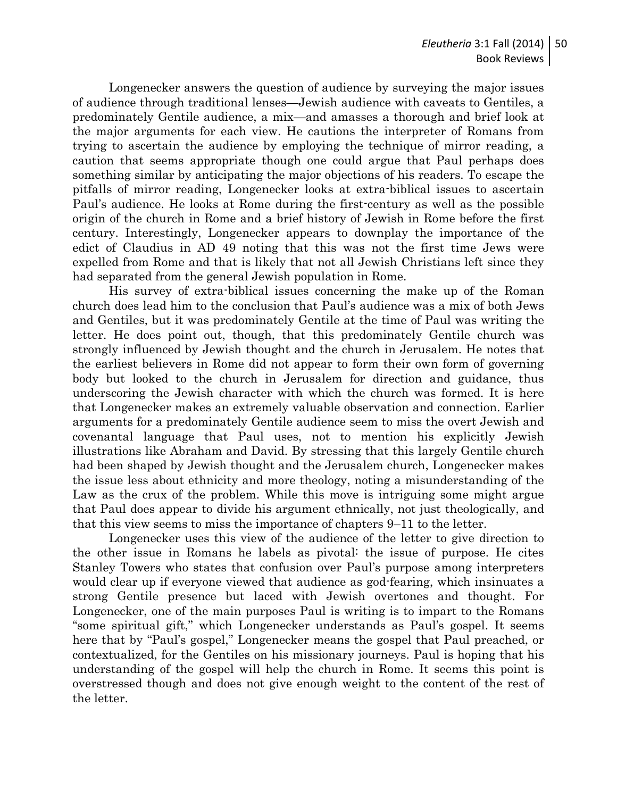Longenecker answers the question of audience by surveying the major issues of audience through traditional lenses—Jewish audience with caveats to Gentiles, a predominately Gentile audience, a mix—and amasses a thorough and brief look at the major arguments for each view. He cautions the interpreter of Romans from trying to ascertain the audience by employing the technique of mirror reading, a caution that seems appropriate though one could argue that Paul perhaps does something similar by anticipating the major objections of his readers. To escape the pitfalls of mirror reading, Longenecker looks at extra-biblical issues to ascertain Paul's audience. He looks at Rome during the first-century as well as the possible origin of the church in Rome and a brief history of Jewish in Rome before the first century. Interestingly, Longenecker appears to downplay the importance of the edict of Claudius in AD 49 noting that this was not the first time Jews were expelled from Rome and that is likely that not all Jewish Christians left since they had separated from the general Jewish population in Rome.

His survey of extra-biblical issues concerning the make up of the Roman church does lead him to the conclusion that Paul's audience was a mix of both Jews and Gentiles, but it was predominately Gentile at the time of Paul was writing the letter. He does point out, though, that this predominately Gentile church was strongly influenced by Jewish thought and the church in Jerusalem. He notes that the earliest believers in Rome did not appear to form their own form of governing body but looked to the church in Jerusalem for direction and guidance, thus underscoring the Jewish character with which the church was formed. It is here that Longenecker makes an extremely valuable observation and connection. Earlier arguments for a predominately Gentile audience seem to miss the overt Jewish and covenantal language that Paul uses, not to mention his explicitly Jewish illustrations like Abraham and David. By stressing that this largely Gentile church had been shaped by Jewish thought and the Jerusalem church, Longenecker makes the issue less about ethnicity and more theology, noting a misunderstanding of the Law as the crux of the problem. While this move is intriguing some might argue that Paul does appear to divide his argument ethnically, not just theologically, and that this view seems to miss the importance of chapters 9–11 to the letter.

Longenecker uses this view of the audience of the letter to give direction to the other issue in Romans he labels as pivotal: the issue of purpose. He cites Stanley Towers who states that confusion over Paul's purpose among interpreters would clear up if everyone viewed that audience as god-fearing, which insinuates a strong Gentile presence but laced with Jewish overtones and thought. For Longenecker, one of the main purposes Paul is writing is to impart to the Romans "some spiritual gift," which Longenecker understands as Paul's gospel. It seems here that by "Paul's gospel," Longenecker means the gospel that Paul preached, or contextualized, for the Gentiles on his missionary journeys. Paul is hoping that his understanding of the gospel will help the church in Rome. It seems this point is overstressed though and does not give enough weight to the content of the rest of the letter.